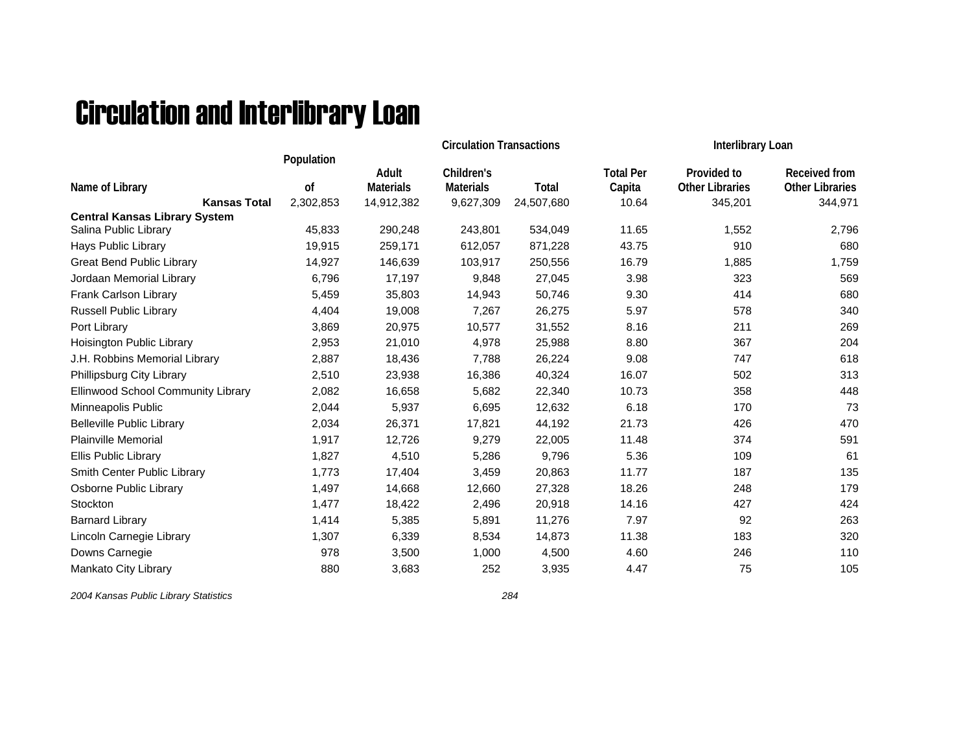## Circulation and Interlibrary Loan

|                                      |                  |                           | <b>Circulation Transactions</b> |            | Interlibrary Loan          |                                       |                                         |
|--------------------------------------|------------------|---------------------------|---------------------------------|------------|----------------------------|---------------------------------------|-----------------------------------------|
| Name of Library                      | Population<br>0f | Adult<br><b>Materials</b> | Children's<br><b>Materials</b>  | Total      | <b>Total Per</b><br>Capita | Provided to<br><b>Other Libraries</b> | Received from<br><b>Other Libraries</b> |
| <b>Kansas Total</b>                  | 2,302,853        | 14,912,382                | 9,627,309                       | 24,507,680 | 10.64                      | 345,201                               | 344,971                                 |
| <b>Central Kansas Library System</b> |                  |                           |                                 |            |                            |                                       |                                         |
| Salina Public Library                | 45,833           | 290,248                   | 243,801                         | 534,049    | 11.65                      | 1,552                                 | 2,796                                   |
| <b>Hays Public Library</b>           | 19,915           | 259,171                   | 612,057                         | 871,228    | 43.75                      | 910                                   | 680                                     |
| <b>Great Bend Public Library</b>     | 14,927           | 146,639                   | 103,917                         | 250,556    | 16.79                      | 1,885                                 | 1,759                                   |
| Jordaan Memorial Library             | 6,796            | 17,197                    | 9,848                           | 27,045     | 3.98                       | 323                                   | 569                                     |
| Frank Carlson Library                | 5,459            | 35,803                    | 14,943                          | 50,746     | 9.30                       | 414                                   | 680                                     |
| Russell Public Library               | 4,404            | 19,008                    | 7,267                           | 26,275     | 5.97                       | 578                                   | 340                                     |
| Port Library                         | 3,869            | 20,975                    | 10,577                          | 31,552     | 8.16                       | 211                                   | 269                                     |
| Hoisington Public Library            | 2,953            | 21,010                    | 4,978                           | 25,988     | 8.80                       | 367                                   | 204                                     |
| J.H. Robbins Memorial Library        | 2,887            | 18,436                    | 7,788                           | 26,224     | 9.08                       | 747                                   | 618                                     |
| Phillipsburg City Library            | 2,510            | 23,938                    | 16,386                          | 40,324     | 16.07                      | 502                                   | 313                                     |
| Ellinwood School Community Library   | 2,082            | 16,658                    | 5,682                           | 22,340     | 10.73                      | 358                                   | 448                                     |
| Minneapolis Public                   | 2,044            | 5,937                     | 6,695                           | 12,632     | 6.18                       | 170                                   | 73                                      |
| <b>Belleville Public Library</b>     | 2,034            | 26,371                    | 17,821                          | 44,192     | 21.73                      | 426                                   | 470                                     |
| <b>Plainville Memorial</b>           | 1,917            | 12,726                    | 9,279                           | 22,005     | 11.48                      | 374                                   | 591                                     |
| Ellis Public Library                 | 1,827            | 4,510                     | 5,286                           | 9,796      | 5.36                       | 109                                   | 61                                      |
| Smith Center Public Library          | 1,773            | 17,404                    | 3,459                           | 20,863     | 11.77                      | 187                                   | 135                                     |
| Osborne Public Library               | 1,497            | 14,668                    | 12,660                          | 27,328     | 18.26                      | 248                                   | 179                                     |
| Stockton                             | 1,477            | 18,422                    | 2,496                           | 20,918     | 14.16                      | 427                                   | 424                                     |
| <b>Barnard Library</b>               | 1,414            | 5,385                     | 5,891                           | 11,276     | 7.97                       | 92                                    | 263                                     |
| Lincoln Carnegie Library             | 1,307            | 6,339                     | 8,534                           | 14,873     | 11.38                      | 183                                   | 320                                     |
| Downs Carnegie                       | 978              | 3,500                     | 1,000                           | 4,500      | 4.60                       | 246                                   | 110                                     |
| Mankato City Library                 | 880              | 3,683                     | 252                             | 3,935      | 4.47                       | 75                                    | 105                                     |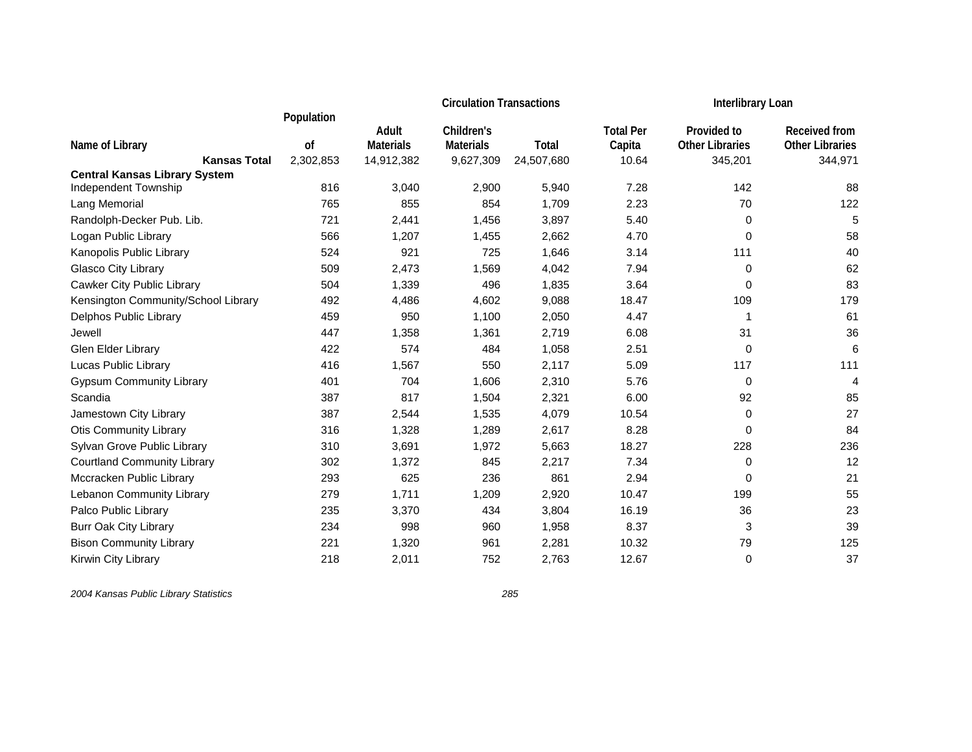|                                      |            |                  | <b>Circulation Transactions</b> |            | <b>Interlibrary Loan</b> |                        |                        |
|--------------------------------------|------------|------------------|---------------------------------|------------|--------------------------|------------------------|------------------------|
|                                      | Population | Adult            | Children's                      |            | <b>Total Per</b>         | Provided to            | <b>Received from</b>   |
| Name of Library                      | 0f         | <b>Materials</b> | <b>Materials</b>                | Total      | Capita                   | <b>Other Libraries</b> | <b>Other Libraries</b> |
| <b>Kansas Total</b>                  | 2,302,853  | 14,912,382       | 9,627,309                       | 24,507,680 | 10.64                    | 345,201                | 344,971                |
| <b>Central Kansas Library System</b> |            |                  |                                 |            |                          |                        |                        |
| Independent Township                 | 816        | 3,040            | 2,900                           | 5,940      | 7.28                     | 142                    | 88                     |
| Lang Memorial                        | 765        | 855              | 854                             | 1,709      | 2.23                     | 70                     | 122                    |
| Randolph-Decker Pub. Lib.            | 721        | 2,441            | 1,456                           | 3,897      | 5.40                     | 0                      | 5                      |
| Logan Public Library                 | 566        | 1,207            | 1,455                           | 2,662      | 4.70                     | 0                      | 58                     |
| Kanopolis Public Library             | 524        | 921              | 725                             | 1,646      | 3.14                     | 111                    | 40                     |
| Glasco City Library                  | 509        | 2,473            | 1,569                           | 4,042      | 7.94                     | 0                      | 62                     |
| Cawker City Public Library           | 504        | 1,339            | 496                             | 1,835      | 3.64                     | 0                      | 83                     |
| Kensington Community/School Library  | 492        | 4,486            | 4,602                           | 9,088      | 18.47                    | 109                    | 179                    |
| Delphos Public Library               | 459        | 950              | 1,100                           | 2,050      | 4.47                     | 1                      | 61                     |
| Jewell                               | 447        | 1,358            | 1,361                           | 2,719      | 6.08                     | 31                     | 36                     |
| Glen Elder Library                   | 422        | 574              | 484                             | 1,058      | 2.51                     | 0                      | 6                      |
| Lucas Public Library                 | 416        | 1,567            | 550                             | 2,117      | 5.09                     | 117                    | 111                    |
| <b>Gypsum Community Library</b>      | 401        | 704              | 1,606                           | 2,310      | 5.76                     | 0                      | 4                      |
| Scandia                              | 387        | 817              | 1,504                           | 2,321      | 6.00                     | 92                     | 85                     |
| Jamestown City Library               | 387        | 2,544            | 1,535                           | 4,079      | 10.54                    | 0                      | 27                     |
| <b>Otis Community Library</b>        | 316        | 1,328            | 1,289                           | 2,617      | 8.28                     | 0                      | 84                     |
| Sylvan Grove Public Library          | 310        | 3,691            | 1,972                           | 5,663      | 18.27                    | 228                    | 236                    |
| <b>Courtland Community Library</b>   | 302        | 1,372            | 845                             | 2,217      | 7.34                     | 0                      | 12                     |
| Mccracken Public Library             | 293        | 625              | 236                             | 861        | 2.94                     | 0                      | 21                     |
| Lebanon Community Library            | 279        | 1,711            | 1,209                           | 2,920      | 10.47                    | 199                    | 55                     |
| Palco Public Library                 | 235        | 3,370            | 434                             | 3,804      | 16.19                    | 36                     | 23                     |
| <b>Burr Oak City Library</b>         | 234        | 998              | 960                             | 1,958      | 8.37                     | 3                      | 39                     |
| <b>Bison Community Library</b>       | 221        | 1,320            | 961                             | 2,281      | 10.32                    | 79                     | 125                    |
| Kirwin City Library                  | 218        | 2,011            | 752                             | 2,763      | 12.67                    | 0                      | 37                     |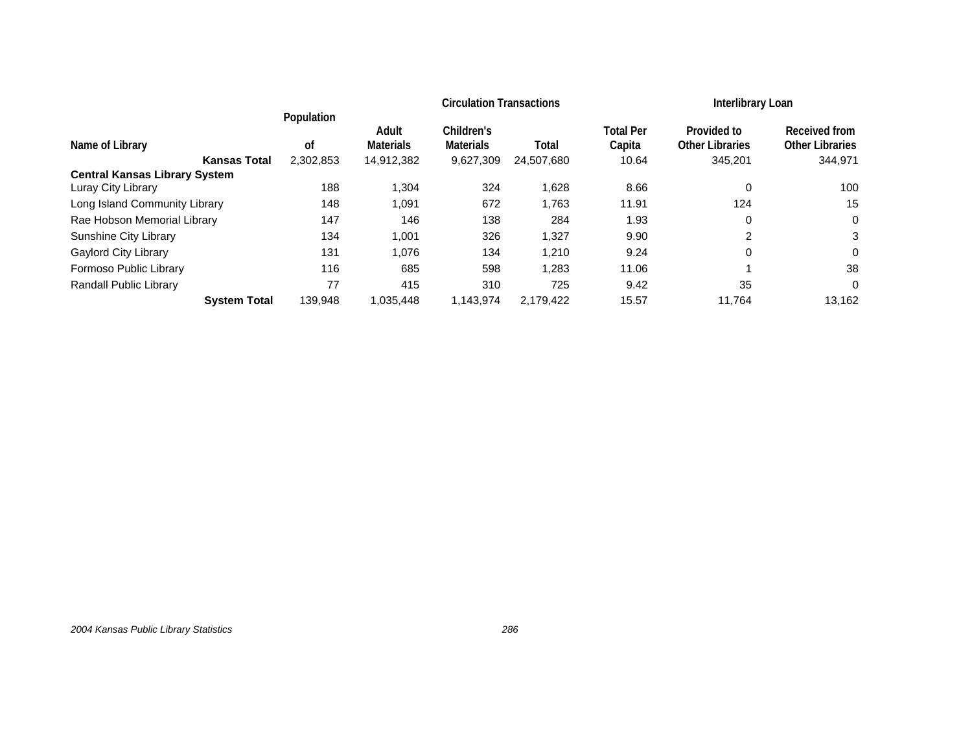|                                      |            |                  | <b>Circulation Transactions</b> | <b>Interlibrary Loan</b> |                  |                        |                        |
|--------------------------------------|------------|------------------|---------------------------------|--------------------------|------------------|------------------------|------------------------|
|                                      | Population | Adult            | Children's                      |                          | <b>Total Per</b> | Provided to            | Received from          |
| Name of Library                      | οf         | <b>Materials</b> | <b>Materials</b>                | Total                    | Capita           | <b>Other Libraries</b> | <b>Other Libraries</b> |
| <b>Kansas Total</b>                  | 2.302.853  | 14,912,382       | 9,627,309                       | 24,507,680               | 10.64            | 345,201                | 344,971                |
| <b>Central Kansas Library System</b> |            |                  |                                 |                          |                  |                        |                        |
| Luray City Library                   | 188        | 1.304            | 324                             | 1.628                    | 8.66             | 0                      | 100                    |
| Long Island Community Library        | 148        | 1,091            | 672                             | 1,763                    | 11.91            | 124                    | 15                     |
| Rae Hobson Memorial Library          | 147        | 146              | 138                             | 284                      | 1.93             | 0                      | 0                      |
| Sunshine City Library                | 134        | 1,001            | 326                             | 1,327                    | 9.90             | 2                      | 3                      |
| <b>Gaylord City Library</b>          | 131        | 1.076            | 134                             | 1.210                    | 9.24             | 0                      | $\Omega$               |
| Formoso Public Library               | 116        | 685              | 598                             | 1,283                    | 11.06            |                        | 38                     |
| Randall Public Library               | 77         | 415              | 310                             | 725                      | 9.42             | 35                     | 0                      |
| <b>System Total</b>                  | 139.948    | 1,035,448        | 1,143,974                       | 2.179.422                | 15.57            | 11,764                 | 13,162                 |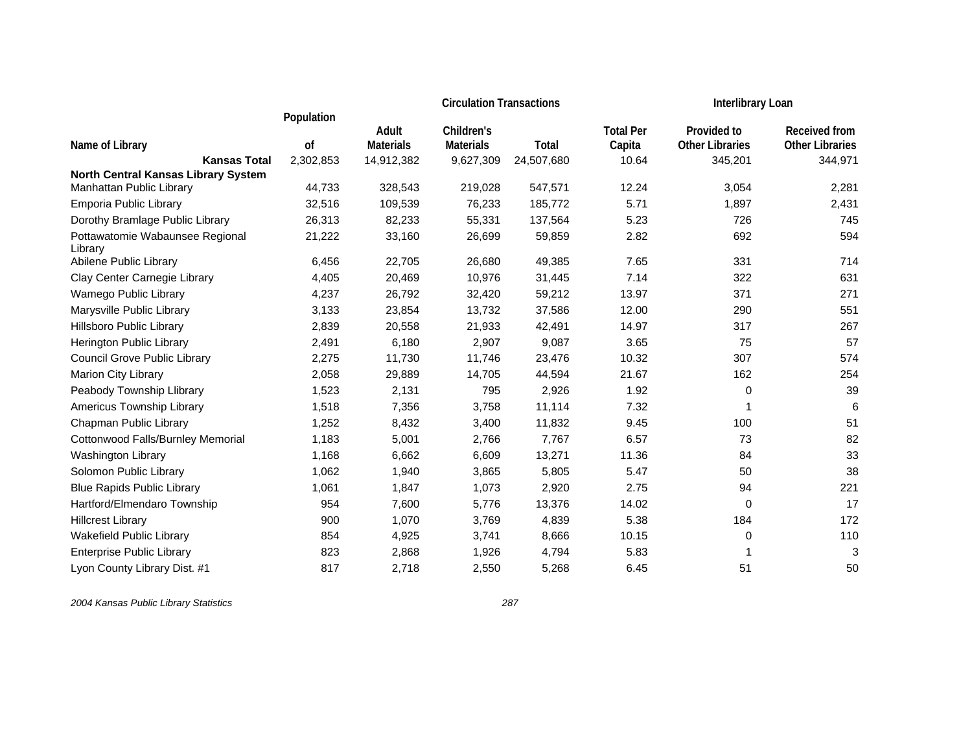|                                                                 |            |                  | <b>Circulation Transactions</b> |            | <b>Interlibrary Loan</b> |                        |                        |
|-----------------------------------------------------------------|------------|------------------|---------------------------------|------------|--------------------------|------------------------|------------------------|
|                                                                 | Population |                  |                                 |            |                          |                        |                        |
|                                                                 |            | Adult            | Children's                      |            | <b>Total Per</b>         | Provided to            | <b>Received from</b>   |
| Name of Library                                                 | οf         | <b>Materials</b> | <b>Materials</b>                | Total      | Capita                   | <b>Other Libraries</b> | <b>Other Libraries</b> |
| <b>Kansas Total</b>                                             | 2,302,853  | 14,912,382       | 9,627,309                       | 24,507,680 | 10.64                    | 345,201                | 344,971                |
| North Central Kansas Library System<br>Manhattan Public Library | 44,733     | 328,543          | 219,028                         | 547,571    | 12.24                    | 3,054                  | 2,281                  |
| Emporia Public Library                                          | 32,516     | 109,539          | 76,233                          | 185,772    | 5.71                     | 1,897                  | 2,431                  |
| Dorothy Bramlage Public Library                                 | 26,313     | 82,233           | 55,331                          | 137,564    | 5.23                     | 726                    | 745                    |
| Pottawatomie Wabaunsee Regional<br>Library                      | 21,222     | 33,160           | 26,699                          | 59,859     | 2.82                     | 692                    | 594                    |
| Abilene Public Library                                          | 6,456      | 22,705           | 26,680                          | 49,385     | 7.65                     | 331                    | 714                    |
| Clay Center Carnegie Library                                    | 4,405      | 20,469           | 10,976                          | 31,445     | 7.14                     | 322                    | 631                    |
| Wamego Public Library                                           | 4,237      | 26,792           | 32,420                          | 59,212     | 13.97                    | 371                    | 271                    |
| Marysville Public Library                                       | 3,133      | 23,854           | 13,732                          | 37,586     | 12.00                    | 290                    | 551                    |
| Hillsboro Public Library                                        | 2,839      | 20,558           | 21,933                          | 42,491     | 14.97                    | 317                    | 267                    |
| Herington Public Library                                        | 2,491      | 6,180            | 2,907                           | 9,087      | 3.65                     | 75                     | 57                     |
| Council Grove Public Library                                    | 2,275      | 11,730           | 11,746                          | 23,476     | 10.32                    | 307                    | 574                    |
| Marion City Library                                             | 2,058      | 29,889           | 14,705                          | 44,594     | 21.67                    | 162                    | 254                    |
| Peabody Township Llibrary                                       | 1,523      | 2,131            | 795                             | 2,926      | 1.92                     | 0                      | 39                     |
| Americus Township Library                                       | 1,518      | 7,356            | 3,758                           | 11,114     | 7.32                     | 1                      | 6                      |
| Chapman Public Library                                          | 1,252      | 8,432            | 3,400                           | 11,832     | 9.45                     | 100                    | 51                     |
| Cottonwood Falls/Burnley Memorial                               | 1,183      | 5,001            | 2,766                           | 7,767      | 6.57                     | 73                     | 82                     |
| Washington Library                                              | 1,168      | 6,662            | 6,609                           | 13,271     | 11.36                    | 84                     | 33                     |
| Solomon Public Library                                          | 1,062      | 1,940            | 3,865                           | 5,805      | 5.47                     | 50                     | 38                     |
| <b>Blue Rapids Public Library</b>                               | 1,061      | 1,847            | 1,073                           | 2,920      | 2.75                     | 94                     | 221                    |
| Hartford/Elmendaro Township                                     | 954        | 7,600            | 5,776                           | 13,376     | 14.02                    | 0                      | 17                     |
| <b>Hillcrest Library</b>                                        | 900        | 1,070            | 3,769                           | 4,839      | 5.38                     | 184                    | 172                    |
| Wakefield Public Library                                        | 854        | 4,925            | 3,741                           | 8,666      | 10.15                    | 0                      | 110                    |
| <b>Enterprise Public Library</b>                                | 823        | 2,868            | 1,926                           | 4,794      | 5.83                     | 1                      | 3                      |
| Lyon County Library Dist. #1                                    | 817        | 2,718            | 2,550                           | 5,268      | 6.45                     | 51                     | 50                     |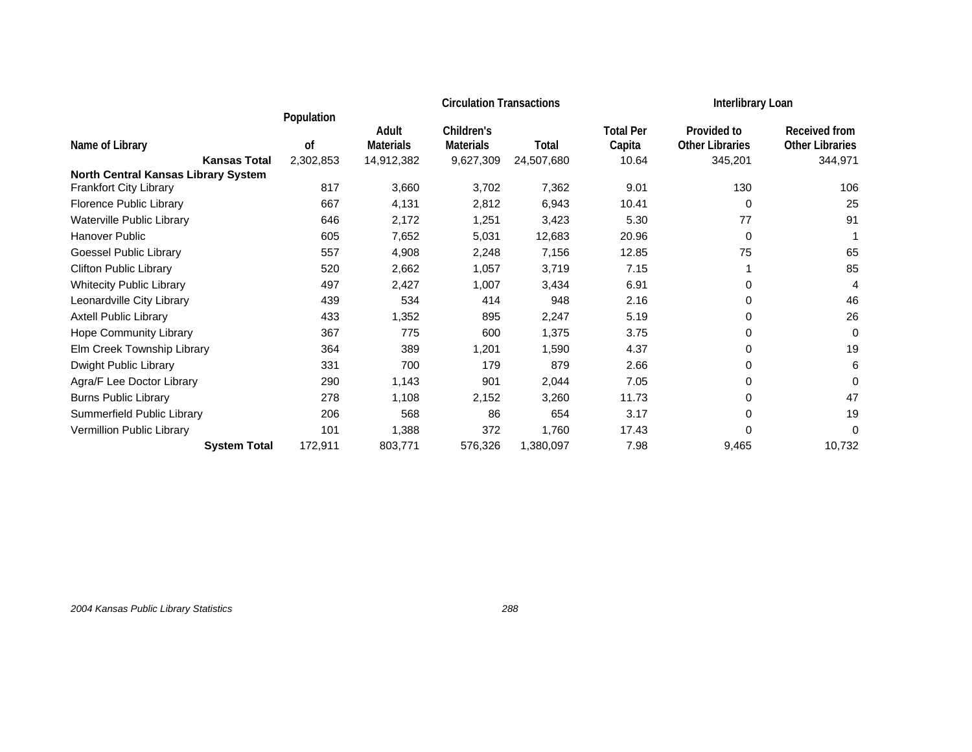|                                            |            |                  | <b>Circulation Transactions</b> |            |                  | Interlibrary Loan      |                        |
|--------------------------------------------|------------|------------------|---------------------------------|------------|------------------|------------------------|------------------------|
|                                            | Population | Adult            | Children's                      |            | <b>Total Per</b> | Provided to            | Received from          |
| Name of Library                            | 0f         | <b>Materials</b> | <b>Materials</b>                | Total      | Capita           | <b>Other Libraries</b> | <b>Other Libraries</b> |
| <b>Kansas Total</b>                        | 2,302,853  | 14,912,382       | 9,627,309                       | 24,507,680 | 10.64            | 345,201                | 344,971                |
| <b>North Central Kansas Library System</b> |            |                  |                                 |            |                  |                        |                        |
| Frankfort City Library                     | 817        | 3,660            | 3,702                           | 7,362      | 9.01             | 130                    | 106                    |
| Florence Public Library                    | 667        | 4,131            | 2,812                           | 6,943      | 10.41            | 0                      | 25                     |
| Waterville Public Library                  | 646        | 2,172            | 1,251                           | 3,423      | 5.30             | 77                     | 91                     |
| Hanover Public                             | 605        | 7,652            | 5,031                           | 12,683     | 20.96            | 0                      |                        |
| Goessel Public Library                     | 557        | 4,908            | 2,248                           | 7,156      | 12.85            | 75                     | 65                     |
| <b>Clifton Public Library</b>              | 520        | 2,662            | 1,057                           | 3,719      | 7.15             |                        | 85                     |
| <b>Whitecity Public Library</b>            | 497        | 2,427            | 1,007                           | 3,434      | 6.91             | 0                      | 4                      |
| Leonardville City Library                  | 439        | 534              | 414                             | 948        | 2.16             | 0                      | 46                     |
| <b>Axtell Public Library</b>               | 433        | 1,352            | 895                             | 2,247      | 5.19             | 0                      | 26                     |
| <b>Hope Community Library</b>              | 367        | 775              | 600                             | 1,375      | 3.75             | 0                      | 0                      |
| Elm Creek Township Library                 | 364        | 389              | 1,201                           | 1,590      | 4.37             | 0                      | 19                     |
| Dwight Public Library                      | 331        | 700              | 179                             | 879        | 2.66             | 0                      | 6                      |
| Agra/F Lee Doctor Library                  | 290        | 1,143            | 901                             | 2,044      | 7.05             | 0                      | 0                      |
| <b>Burns Public Library</b>                | 278        | 1,108            | 2,152                           | 3,260      | 11.73            | 0                      | 47                     |
| Summerfield Public Library                 | 206        | 568              | 86                              | 654        | 3.17             | 0                      | 19                     |
| Vermillion Public Library                  | 101        | 1,388            | 372                             | 1,760      | 17.43            | 0                      | 0                      |
| <b>System Total</b>                        | 172,911    | 803,771          | 576,326                         | 1,380,097  | 7.98             | 9,465                  | 10,732                 |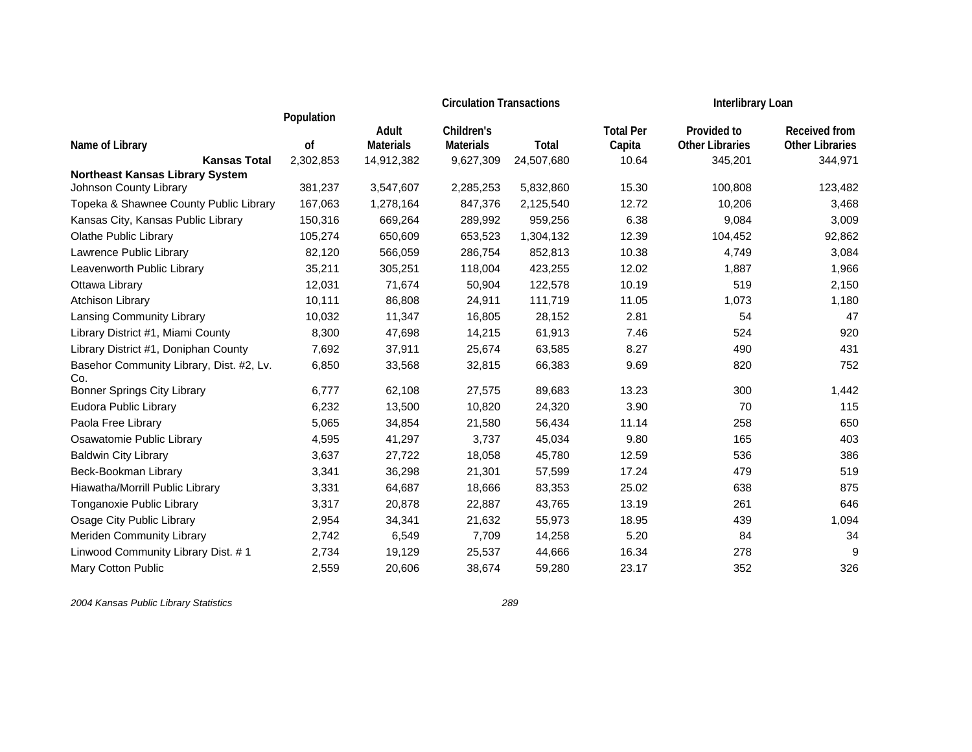|                                                                  |               |                  | <b>Circulation Transactions</b> |            | Interlibrary Loan |                        |                        |
|------------------------------------------------------------------|---------------|------------------|---------------------------------|------------|-------------------|------------------------|------------------------|
|                                                                  | Population    | Adult            | Children's                      |            | <b>Total Per</b>  | Provided to            | <b>Received from</b>   |
| Name of Library                                                  | <sub>of</sub> | <b>Materials</b> | <b>Materials</b>                | Total      | Capita            | <b>Other Libraries</b> | <b>Other Libraries</b> |
| <b>Kansas Total</b>                                              | 2,302,853     | 14,912,382       | 9,627,309                       | 24,507,680 | 10.64             | 345,201                | 344,971                |
| <b>Northeast Kansas Library System</b><br>Johnson County Library | 381,237       | 3,547,607        | 2,285,253                       | 5,832,860  | 15.30             | 100,808                | 123,482                |
| Topeka & Shawnee County Public Library                           | 167,063       | 1,278,164        | 847,376                         | 2,125,540  | 12.72             | 10,206                 | 3,468                  |
| Kansas City, Kansas Public Library                               | 150,316       | 669,264          | 289,992                         | 959,256    | 6.38              | 9,084                  | 3,009                  |
| <b>Olathe Public Library</b>                                     | 105,274       | 650,609          | 653,523                         | 1,304,132  | 12.39             | 104,452                | 92,862                 |
| Lawrence Public Library                                          | 82,120        | 566,059          | 286,754                         | 852,813    | 10.38             | 4,749                  | 3,084                  |
| Leavenworth Public Library                                       | 35,211        | 305,251          | 118,004                         | 423,255    | 12.02             | 1,887                  | 1,966                  |
| Ottawa Library                                                   | 12,031        | 71,674           | 50,904                          | 122,578    | 10.19             | 519                    | 2,150                  |
| Atchison Library                                                 | 10,111        | 86,808           | 24,911                          | 111,719    | 11.05             | 1,073                  | 1,180                  |
| Lansing Community Library                                        | 10,032        | 11,347           | 16,805                          | 28,152     | 2.81              | 54                     | 47                     |
| Library District #1, Miami County                                | 8,300         | 47,698           | 14,215                          | 61,913     | 7.46              | 524                    | 920                    |
| Library District #1, Doniphan County                             | 7,692         | 37,911           | 25,674                          | 63,585     | 8.27              | 490                    | 431                    |
| Basehor Community Library, Dist. #2, Lv.<br>Co.                  | 6,850         | 33,568           | 32,815                          | 66,383     | 9.69              | 820                    | 752                    |
| <b>Bonner Springs City Library</b>                               | 6,777         | 62,108           | 27,575                          | 89,683     | 13.23             | 300                    | 1,442                  |
| Eudora Public Library                                            | 6,232         | 13,500           | 10,820                          | 24,320     | 3.90              | 70                     | 115                    |
| Paola Free Library                                               | 5,065         | 34,854           | 21,580                          | 56,434     | 11.14             | 258                    | 650                    |
| Osawatomie Public Library                                        | 4,595         | 41,297           | 3,737                           | 45,034     | 9.80              | 165                    | 403                    |
| <b>Baldwin City Library</b>                                      | 3,637         | 27,722           | 18,058                          | 45,780     | 12.59             | 536                    | 386                    |
| Beck-Bookman Library                                             | 3,341         | 36,298           | 21,301                          | 57,599     | 17.24             | 479                    | 519                    |
| Hiawatha/Morrill Public Library                                  | 3,331         | 64,687           | 18,666                          | 83,353     | 25.02             | 638                    | 875                    |
| Tonganoxie Public Library                                        | 3,317         | 20,878           | 22,887                          | 43,765     | 13.19             | 261                    | 646                    |
| Osage City Public Library                                        | 2,954         | 34,341           | 21,632                          | 55,973     | 18.95             | 439                    | 1,094                  |
| Meriden Community Library                                        | 2,742         | 6,549            | 7,709                           | 14,258     | 5.20              | 84                     | 34                     |
| Linwood Community Library Dist. #1                               | 2,734         | 19,129           | 25,537                          | 44,666     | 16.34             | 278                    | 9                      |
| Mary Cotton Public                                               | 2,559         | 20,606           | 38,674                          | 59,280     | 23.17             | 352                    | 326                    |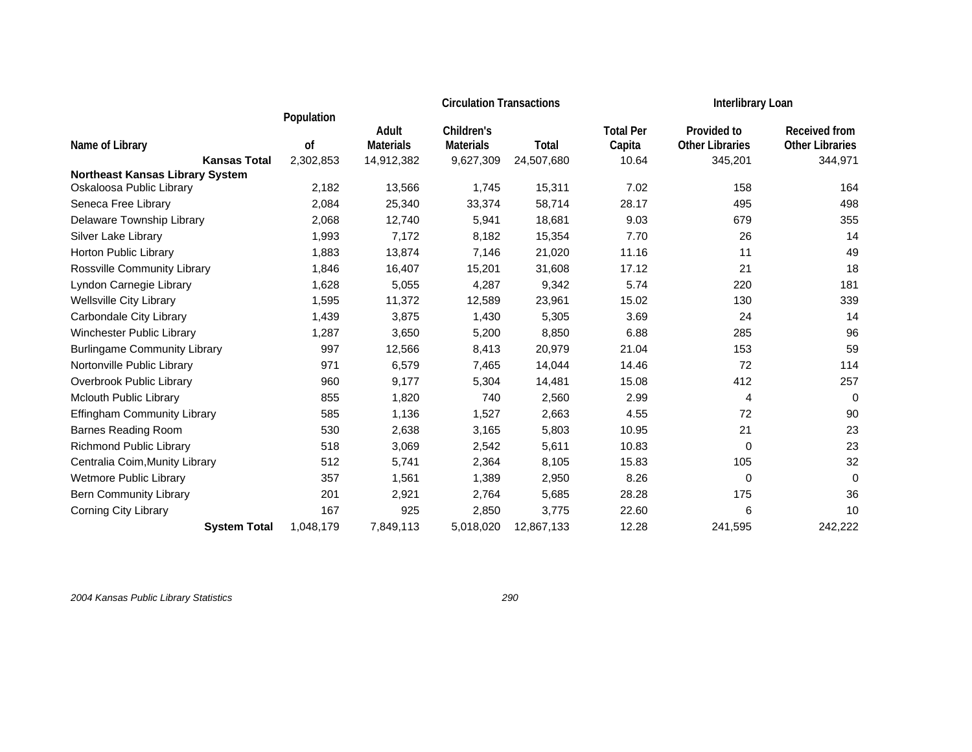|                                        |            |                  | <b>Circulation Transactions</b> |            |                  |                        | Interlibrary Loan      |  |
|----------------------------------------|------------|------------------|---------------------------------|------------|------------------|------------------------|------------------------|--|
|                                        | Population | Adult            | Children's                      |            | <b>Total Per</b> | Provided to            | <b>Received from</b>   |  |
| Name of Library                        | 0f         | <b>Materials</b> | <b>Materials</b>                | Total      | Capita           | <b>Other Libraries</b> | <b>Other Libraries</b> |  |
| <b>Kansas Total</b>                    | 2,302,853  | 14,912,382       | 9,627,309                       | 24,507,680 | 10.64            | 345,201                | 344,971                |  |
| <b>Northeast Kansas Library System</b> |            |                  |                                 |            |                  |                        |                        |  |
| Oskaloosa Public Library               | 2,182      | 13,566           | 1,745                           | 15,311     | 7.02             | 158                    | 164                    |  |
| Seneca Free Library                    | 2,084      | 25,340           | 33,374                          | 58,714     | 28.17            | 495                    | 498                    |  |
| Delaware Township Library              | 2,068      | 12,740           | 5,941                           | 18,681     | 9.03             | 679                    | 355                    |  |
| Silver Lake Library                    | 1,993      | 7,172            | 8,182                           | 15,354     | 7.70             | 26                     | 14                     |  |
| Horton Public Library                  | 1,883      | 13,874           | 7,146                           | 21,020     | 11.16            | 11                     | 49                     |  |
| Rossville Community Library            | 1,846      | 16,407           | 15,201                          | 31,608     | 17.12            | 21                     | 18                     |  |
| Lyndon Carnegie Library                | 1,628      | 5,055            | 4,287                           | 9,342      | 5.74             | 220                    | 181                    |  |
| <b>Wellsville City Library</b>         | 1,595      | 11,372           | 12,589                          | 23,961     | 15.02            | 130                    | 339                    |  |
| Carbondale City Library                | 1,439      | 3,875            | 1,430                           | 5,305      | 3.69             | 24                     | 14                     |  |
| Winchester Public Library              | 1,287      | 3,650            | 5,200                           | 8,850      | 6.88             | 285                    | 96                     |  |
| <b>Burlingame Community Library</b>    | 997        | 12,566           | 8,413                           | 20,979     | 21.04            | 153                    | 59                     |  |
| Nortonville Public Library             | 971        | 6,579            | 7,465                           | 14,044     | 14.46            | 72                     | 114                    |  |
| Overbrook Public Library               | 960        | 9,177            | 5,304                           | 14,481     | 15.08            | 412                    | 257                    |  |
| Mclouth Public Library                 | 855        | 1,820            | 740                             | 2,560      | 2.99             | 4                      | 0                      |  |
| <b>Effingham Community Library</b>     | 585        | 1,136            | 1,527                           | 2,663      | 4.55             | 72                     | 90                     |  |
| <b>Barnes Reading Room</b>             | 530        | 2,638            | 3,165                           | 5,803      | 10.95            | 21                     | 23                     |  |
| <b>Richmond Public Library</b>         | 518        | 3,069            | 2,542                           | 5,611      | 10.83            | $\mathbf 0$            | 23                     |  |
| Centralia Coim, Munity Library         | 512        | 5,741            | 2,364                           | 8,105      | 15.83            | 105                    | 32                     |  |
| Wetmore Public Library                 | 357        | 1,561            | 1,389                           | 2,950      | 8.26             | $\mathbf 0$            | 0                      |  |
| <b>Bern Community Library</b>          | 201        | 2,921            | 2,764                           | 5,685      | 28.28            | 175                    | 36                     |  |
| <b>Corning City Library</b>            | 167        | 925              | 2,850                           | 3,775      | 22.60            | 6                      | 10                     |  |
| <b>System Total</b>                    | 1,048,179  | 7,849,113        | 5,018,020                       | 12,867,133 | 12.28            | 241,595                | 242,222                |  |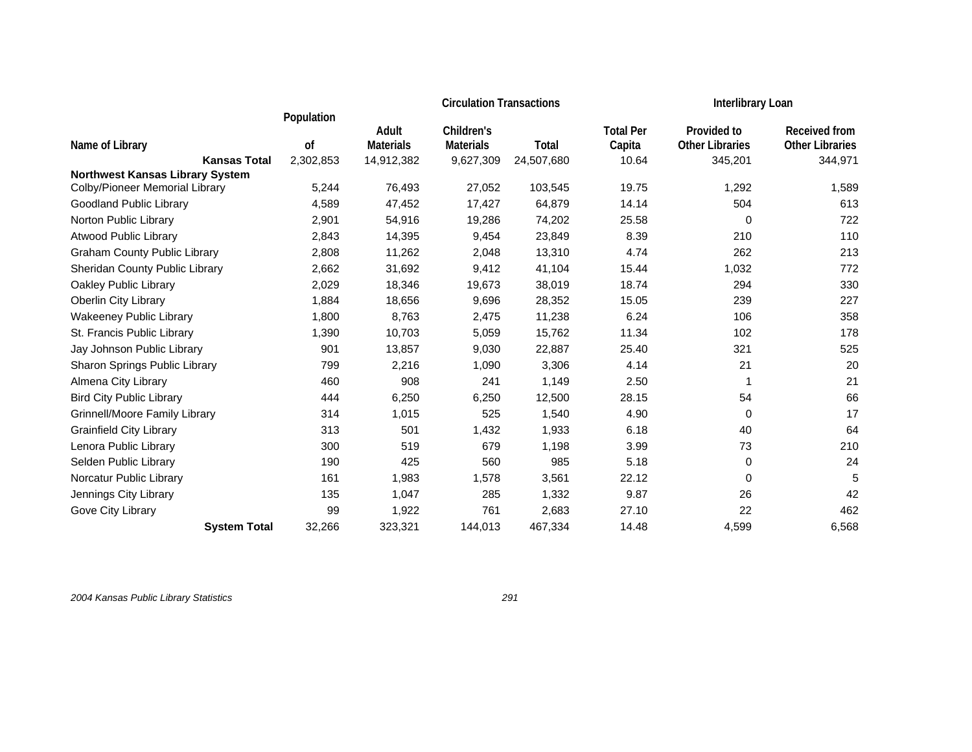|                                        |               |                  | <b>Circulation Transactions</b> |            |                  |                        | Interlibrary Loan      |  |
|----------------------------------------|---------------|------------------|---------------------------------|------------|------------------|------------------------|------------------------|--|
|                                        | Population    | Adult            | Children's                      |            | <b>Total Per</b> | Provided to            | <b>Received from</b>   |  |
| Name of Library                        | <sub>of</sub> | <b>Materials</b> | <b>Materials</b>                | Total      | Capita           | <b>Other Libraries</b> | <b>Other Libraries</b> |  |
| <b>Kansas Total</b>                    | 2,302,853     | 14,912,382       | 9,627,309                       | 24,507,680 | 10.64            | 345,201                | 344,971                |  |
| <b>Northwest Kansas Library System</b> |               |                  |                                 |            |                  |                        |                        |  |
| Colby/Pioneer Memorial Library         | 5,244         | 76,493           | 27,052                          | 103,545    | 19.75            | 1,292                  | 1,589                  |  |
| Goodland Public Library                | 4,589         | 47,452           | 17,427                          | 64,879     | 14.14            | 504                    | 613                    |  |
| Norton Public Library                  | 2,901         | 54,916           | 19,286                          | 74,202     | 25.58            | 0                      | 722                    |  |
| <b>Atwood Public Library</b>           | 2,843         | 14,395           | 9,454                           | 23,849     | 8.39             | 210                    | 110                    |  |
| <b>Graham County Public Library</b>    | 2,808         | 11,262           | 2,048                           | 13,310     | 4.74             | 262                    | 213                    |  |
| Sheridan County Public Library         | 2,662         | 31,692           | 9,412                           | 41,104     | 15.44            | 1,032                  | 772                    |  |
| Oakley Public Library                  | 2,029         | 18,346           | 19,673                          | 38,019     | 18.74            | 294                    | 330                    |  |
| Oberlin City Library                   | 1,884         | 18,656           | 9,696                           | 28,352     | 15.05            | 239                    | 227                    |  |
| <b>Wakeeney Public Library</b>         | 1,800         | 8,763            | 2,475                           | 11,238     | 6.24             | 106                    | 358                    |  |
| St. Francis Public Library             | 1,390         | 10,703           | 5,059                           | 15,762     | 11.34            | 102                    | 178                    |  |
| Jay Johnson Public Library             | 901           | 13,857           | 9,030                           | 22,887     | 25.40            | 321                    | 525                    |  |
| Sharon Springs Public Library          | 799           | 2,216            | 1,090                           | 3,306      | 4.14             | 21                     | 20                     |  |
| Almena City Library                    | 460           | 908              | 241                             | 1,149      | 2.50             |                        | 21                     |  |
| <b>Bird City Public Library</b>        | 444           | 6,250            | 6,250                           | 12,500     | 28.15            | 54                     | 66                     |  |
| Grinnell/Moore Family Library          | 314           | 1,015            | 525                             | 1,540      | 4.90             | 0                      | 17                     |  |
| <b>Grainfield City Library</b>         | 313           | 501              | 1,432                           | 1,933      | 6.18             | 40                     | 64                     |  |
| Lenora Public Library                  | 300           | 519              | 679                             | 1,198      | 3.99             | 73                     | 210                    |  |
| Selden Public Library                  | 190           | 425              | 560                             | 985        | 5.18             | 0                      | 24                     |  |
| Norcatur Public Library                | 161           | 1,983            | 1,578                           | 3,561      | 22.12            | $\mathbf 0$            | 5                      |  |
| Jennings City Library                  | 135           | 1,047            | 285                             | 1,332      | 9.87             | 26                     | 42                     |  |
| Gove City Library                      | 99            | 1,922            | 761                             | 2,683      | 27.10            | 22                     | 462                    |  |
| <b>System Total</b>                    | 32,266        | 323,321          | 144,013                         | 467,334    | 14.48            | 4,599                  | 6,568                  |  |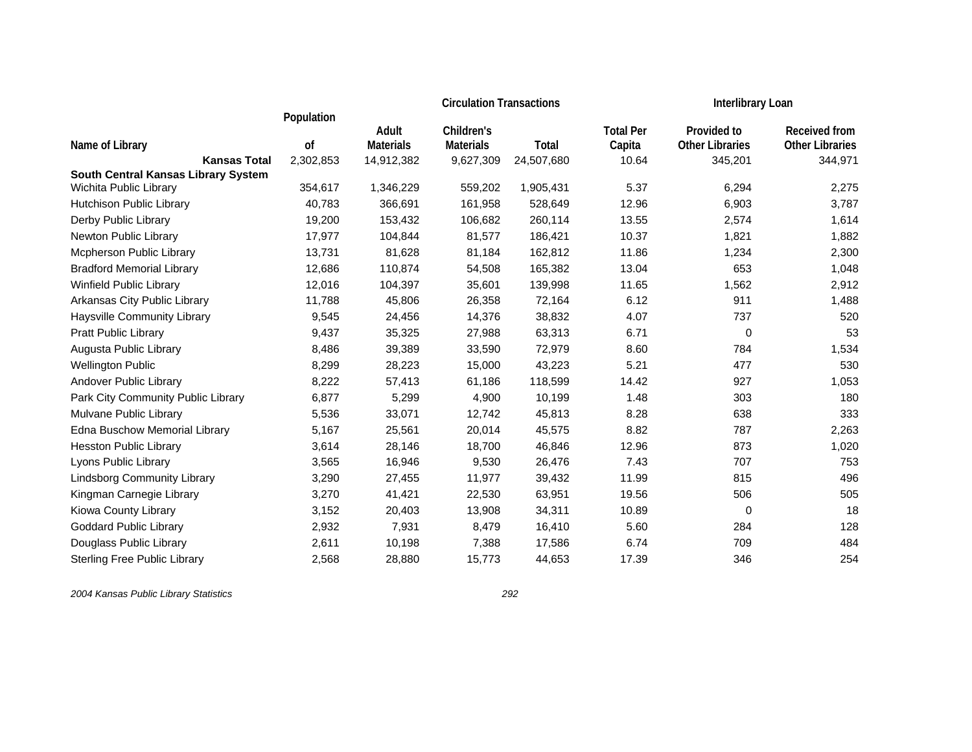|                                            |            |                  | <b>Circulation Transactions</b> |            | Interlibrary Loan |                        |                        |
|--------------------------------------------|------------|------------------|---------------------------------|------------|-------------------|------------------------|------------------------|
|                                            | Population | Adult            | Children's                      |            | <b>Total Per</b>  | Provided to            | <b>Received from</b>   |
| Name of Library                            | οf         | <b>Materials</b> | <b>Materials</b>                | Total      | Capita            | <b>Other Libraries</b> | <b>Other Libraries</b> |
| <b>Kansas Total</b>                        | 2,302,853  | 14,912,382       | 9,627,309                       | 24,507,680 | 10.64             | 345,201                | 344,971                |
| <b>South Central Kansas Library System</b> |            |                  |                                 |            |                   |                        |                        |
| Wichita Public Library                     | 354,617    | 1,346,229        | 559,202                         | 1,905,431  | 5.37              | 6,294                  | 2,275                  |
| Hutchison Public Library                   | 40,783     | 366,691          | 161,958                         | 528,649    | 12.96             | 6,903                  | 3,787                  |
| Derby Public Library                       | 19,200     | 153,432          | 106,682                         | 260,114    | 13.55             | 2,574                  | 1,614                  |
| Newton Public Library                      | 17,977     | 104,844          | 81,577                          | 186,421    | 10.37             | 1,821                  | 1,882                  |
| Mcpherson Public Library                   | 13,731     | 81,628           | 81,184                          | 162,812    | 11.86             | 1,234                  | 2,300                  |
| <b>Bradford Memorial Library</b>           | 12,686     | 110,874          | 54,508                          | 165,382    | 13.04             | 653                    | 1,048                  |
| Winfield Public Library                    | 12,016     | 104,397          | 35,601                          | 139,998    | 11.65             | 1,562                  | 2,912                  |
| Arkansas City Public Library               | 11,788     | 45,806           | 26,358                          | 72,164     | 6.12              | 911                    | 1,488                  |
| Haysville Community Library                | 9,545      | 24,456           | 14,376                          | 38,832     | 4.07              | 737                    | 520                    |
| Pratt Public Library                       | 9,437      | 35,325           | 27,988                          | 63,313     | 6.71              | 0                      | 53                     |
| Augusta Public Library                     | 8,486      | 39,389           | 33,590                          | 72,979     | 8.60              | 784                    | 1,534                  |
| <b>Wellington Public</b>                   | 8,299      | 28,223           | 15,000                          | 43,223     | 5.21              | 477                    | 530                    |
| Andover Public Library                     | 8,222      | 57,413           | 61,186                          | 118,599    | 14.42             | 927                    | 1,053                  |
| Park City Community Public Library         | 6,877      | 5,299            | 4,900                           | 10,199     | 1.48              | 303                    | 180                    |
| Mulvane Public Library                     | 5,536      | 33,071           | 12,742                          | 45,813     | 8.28              | 638                    | 333                    |
| Edna Buschow Memorial Library              | 5,167      | 25,561           | 20,014                          | 45,575     | 8.82              | 787                    | 2,263                  |
| <b>Hesston Public Library</b>              | 3,614      | 28,146           | 18,700                          | 46,846     | 12.96             | 873                    | 1,020                  |
| Lyons Public Library                       | 3,565      | 16,946           | 9,530                           | 26,476     | 7.43              | 707                    | 753                    |
| <b>Lindsborg Community Library</b>         | 3,290      | 27,455           | 11,977                          | 39,432     | 11.99             | 815                    | 496                    |
| Kingman Carnegie Library                   | 3,270      | 41,421           | 22,530                          | 63,951     | 19.56             | 506                    | 505                    |
| Kiowa County Library                       | 3,152      | 20,403           | 13,908                          | 34,311     | 10.89             | 0                      | 18                     |
| <b>Goddard Public Library</b>              | 2,932      | 7,931            | 8,479                           | 16,410     | 5.60              | 284                    | 128                    |
| Douglass Public Library                    | 2,611      | 10,198           | 7,388                           | 17,586     | 6.74              | 709                    | 484                    |
| <b>Sterling Free Public Library</b>        | 2,568      | 28,880           | 15,773                          | 44,653     | 17.39             | 346                    | 254                    |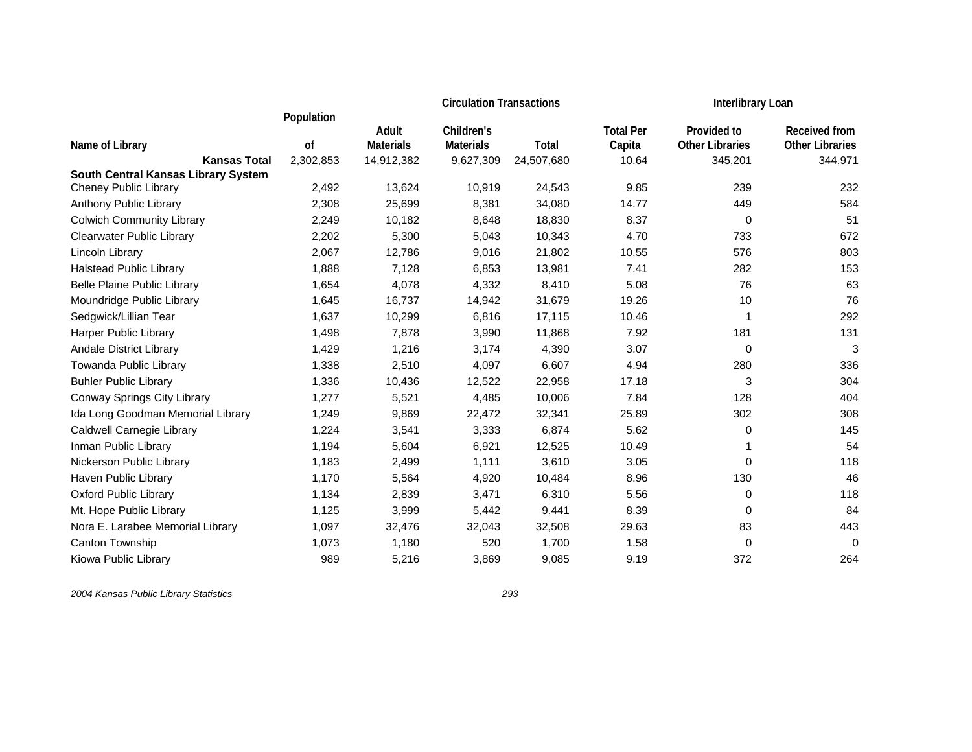|                                            |            |                  | <b>Circulation Transactions</b> |            | <b>Interlibrary Loan</b> |                        |                        |
|--------------------------------------------|------------|------------------|---------------------------------|------------|--------------------------|------------------------|------------------------|
|                                            | Population | Adult            | Children's                      |            | <b>Total Per</b>         | Provided to            | Received from          |
| Name of Library                            | οf         | <b>Materials</b> | <b>Materials</b>                | Total      | Capita                   | <b>Other Libraries</b> | <b>Other Libraries</b> |
| <b>Kansas Total</b>                        | 2,302,853  | 14,912,382       | 9,627,309                       | 24,507,680 | 10.64                    | 345,201                | 344,971                |
| <b>South Central Kansas Library System</b> |            |                  |                                 |            |                          |                        |                        |
| <b>Cheney Public Library</b>               | 2,492      | 13,624           | 10,919                          | 24,543     | 9.85                     | 239                    | 232                    |
| Anthony Public Library                     | 2,308      | 25,699           | 8,381                           | 34,080     | 14.77                    | 449                    | 584                    |
| <b>Colwich Community Library</b>           | 2,249      | 10,182           | 8,648                           | 18,830     | 8.37                     | 0                      | 51                     |
| <b>Clearwater Public Library</b>           | 2,202      | 5,300            | 5,043                           | 10,343     | 4.70                     | 733                    | 672                    |
| Lincoln Library                            | 2,067      | 12,786           | 9,016                           | 21,802     | 10.55                    | 576                    | 803                    |
| <b>Halstead Public Library</b>             | 1,888      | 7,128            | 6,853                           | 13,981     | 7.41                     | 282                    | 153                    |
| Belle Plaine Public Library                | 1,654      | 4,078            | 4,332                           | 8,410      | 5.08                     | 76                     | 63                     |
| Moundridge Public Library                  | 1,645      | 16,737           | 14,942                          | 31,679     | 19.26                    | 10                     | 76                     |
| Sedgwick/Lillian Tear                      | 1,637      | 10,299           | 6,816                           | 17,115     | 10.46                    | 1                      | 292                    |
| Harper Public Library                      | 1,498      | 7,878            | 3,990                           | 11,868     | 7.92                     | 181                    | 131                    |
| Andale District Library                    | 1,429      | 1,216            | 3,174                           | 4,390      | 3.07                     | 0                      | 3                      |
| Towanda Public Library                     | 1,338      | 2,510            | 4,097                           | 6,607      | 4.94                     | 280                    | 336                    |
| <b>Buhler Public Library</b>               | 1,336      | 10,436           | 12,522                          | 22,958     | 17.18                    | 3                      | 304                    |
| Conway Springs City Library                | 1,277      | 5,521            | 4,485                           | 10,006     | 7.84                     | 128                    | 404                    |
| Ida Long Goodman Memorial Library          | 1,249      | 9,869            | 22,472                          | 32,341     | 25.89                    | 302                    | 308                    |
| Caldwell Carnegie Library                  | 1,224      | 3,541            | 3,333                           | 6,874      | 5.62                     | 0                      | 145                    |
| Inman Public Library                       | 1,194      | 5,604            | 6,921                           | 12,525     | 10.49                    | $\mathbf{1}$           | 54                     |
| Nickerson Public Library                   | 1,183      | 2,499            | 1,111                           | 3,610      | 3.05                     | 0                      | 118                    |
| Haven Public Library                       | 1,170      | 5,564            | 4,920                           | 10,484     | 8.96                     | 130                    | 46                     |
| <b>Oxford Public Library</b>               | 1,134      | 2,839            | 3,471                           | 6,310      | 5.56                     | 0                      | 118                    |
| Mt. Hope Public Library                    | 1,125      | 3,999            | 5,442                           | 9,441      | 8.39                     | 0                      | 84                     |
| Nora E. Larabee Memorial Library           | 1,097      | 32,476           | 32,043                          | 32,508     | 29.63                    | 83                     | 443                    |
| Canton Township                            | 1,073      | 1,180            | 520                             | 1,700      | 1.58                     | 0                      | 0                      |
| Kiowa Public Library                       | 989        | 5,216            | 3,869                           | 9,085      | 9.19                     | 372                    | 264                    |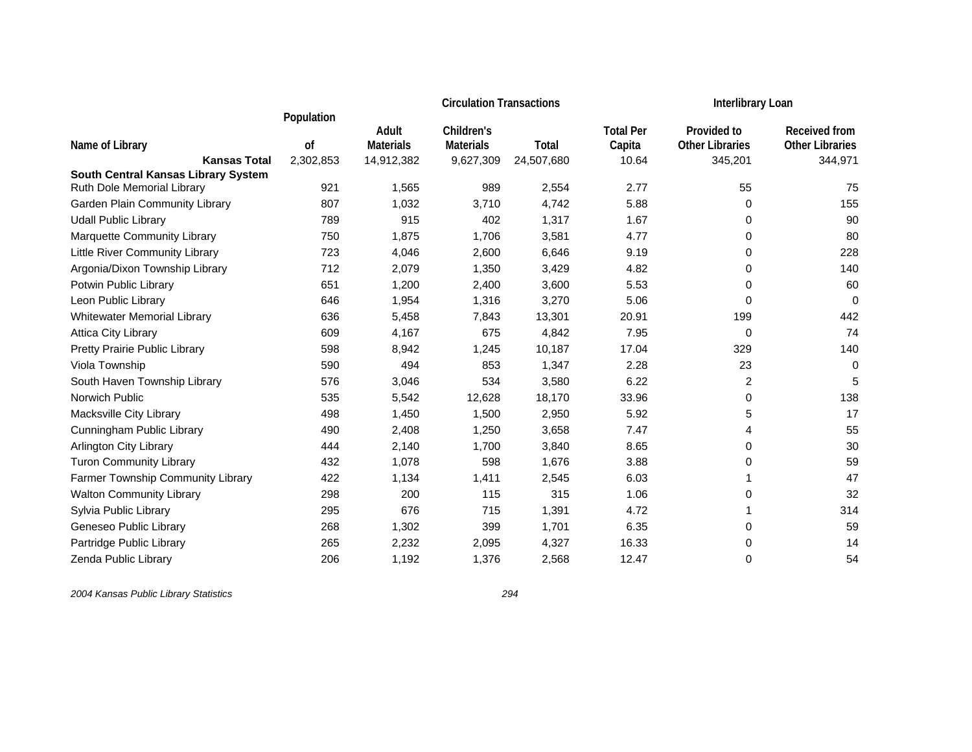|                                     |            |                  | <b>Circulation Transactions</b> |            | <b>Interlibrary Loan</b> |                         |                        |
|-------------------------------------|------------|------------------|---------------------------------|------------|--------------------------|-------------------------|------------------------|
|                                     | Population |                  |                                 |            |                          |                         |                        |
|                                     |            | Adult            | Children's                      |            | <b>Total Per</b>         | Provided to             | Received from          |
| Name of Library                     | οf         | <b>Materials</b> | <b>Materials</b>                | Total      | Capita                   | <b>Other Libraries</b>  | <b>Other Libraries</b> |
| <b>Kansas Total</b>                 | 2,302,853  | 14,912,382       | 9,627,309                       | 24,507,680 | 10.64                    | 345,201                 | 344,971                |
| South Central Kansas Library System | 921        |                  | 989                             | 2,554      | 2.77                     | 55                      | 75                     |
| Ruth Dole Memorial Library          |            | 1,565            |                                 |            |                          |                         |                        |
| Garden Plain Community Library      | 807        | 1,032            | 3,710                           | 4,742      | 5.88                     | 0                       | 155                    |
| <b>Udall Public Library</b>         | 789        | 915              | 402                             | 1,317      | 1.67                     | 0                       | 90                     |
| Marquette Community Library         | 750        | 1,875            | 1,706                           | 3,581      | 4.77                     | 0                       | 80                     |
| Little River Community Library      | 723        | 4,046            | 2,600                           | 6,646      | 9.19                     | 0                       | 228                    |
| Argonia/Dixon Township Library      | 712        | 2,079            | 1,350                           | 3,429      | 4.82                     | 0                       | 140                    |
| Potwin Public Library               | 651        | 1,200            | 2,400                           | 3,600      | 5.53                     | 0                       | 60                     |
| Leon Public Library                 | 646        | 1,954            | 1,316                           | 3,270      | 5.06                     | 0                       | $\mathbf 0$            |
| <b>Whitewater Memorial Library</b>  | 636        | 5,458            | 7,843                           | 13,301     | 20.91                    | 199                     | 442                    |
| Attica City Library                 | 609        | 4,167            | 675                             | 4,842      | 7.95                     | $\,0\,$                 | 74                     |
| Pretty Prairie Public Library       | 598        | 8,942            | 1,245                           | 10,187     | 17.04                    | 329                     | 140                    |
| Viola Township                      | 590        | 494              | 853                             | 1,347      | 2.28                     | 23                      | 0                      |
| South Haven Township Library        | 576        | 3,046            | 534                             | 3,580      | 6.22                     | $\overline{\mathbf{c}}$ | 5                      |
| Norwich Public                      | 535        | 5,542            | 12,628                          | 18,170     | 33.96                    | 0                       | 138                    |
| Macksville City Library             | 498        | 1,450            | 1,500                           | 2,950      | 5.92                     | 5                       | 17                     |
| Cunningham Public Library           | 490        | 2,408            | 1,250                           | 3,658      | 7.47                     | 4                       | 55                     |
| <b>Arlington City Library</b>       | 444        | 2,140            | 1,700                           | 3,840      | 8.65                     | 0                       | 30                     |
| <b>Turon Community Library</b>      | 432        | 1,078            | 598                             | 1,676      | 3.88                     | 0                       | 59                     |
| Farmer Township Community Library   | 422        | 1,134            | 1,411                           | 2,545      | 6.03                     | 1                       | 47                     |
| <b>Walton Community Library</b>     | 298        | 200              | 115                             | 315        | 1.06                     | 0                       | 32                     |
| Sylvia Public Library               | 295        | 676              | 715                             | 1,391      | 4.72                     | 1                       | 314                    |
| Geneseo Public Library              | 268        | 1,302            | 399                             | 1,701      | 6.35                     | 0                       | 59                     |
| Partridge Public Library            | 265        | 2,232            | 2,095                           | 4,327      | 16.33                    | 0                       | 14                     |
| Zenda Public Library                | 206        | 1,192            | 1,376                           | 2,568      | 12.47                    | 0                       | 54                     |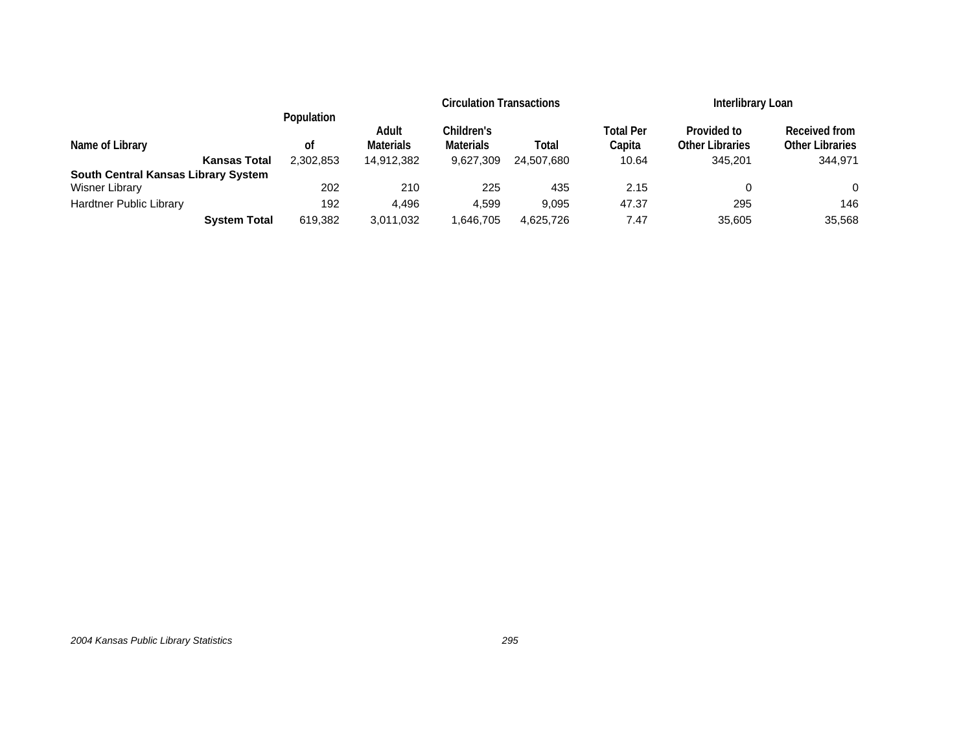|                                     |                     |            |                  | <b>Circulation Transactions</b> |            |           |                        | Interlibrary Loan      |  |
|-------------------------------------|---------------------|------------|------------------|---------------------------------|------------|-----------|------------------------|------------------------|--|
|                                     |                     | Population | Adult            | Children's                      |            | Total Per | Provided to            | Received from          |  |
| Name of Library                     |                     | οf         | <b>Materials</b> | <b>Materials</b>                | Total      | Capita    | <b>Other Libraries</b> | <b>Other Libraries</b> |  |
|                                     | <b>Kansas Total</b> | 2.302.853  | 14.912.382       | 9.627.309                       | 24.507.680 | 10.64     | 345,201                | 344.971                |  |
| South Central Kansas Library System |                     |            |                  |                                 |            |           |                        |                        |  |
| Wisner Library                      |                     | 202        | 210              | 225                             | 435        | 2.15      | 0                      | 0                      |  |
| <b>Hardtner Public Library</b>      |                     | 192        | 4.496            | 4.599                           | 9.095      | 47.37     | 295                    | 146                    |  |
|                                     | <b>System Total</b> | 619,382    | 3,011,032        | 1,646,705                       | 4,625,726  | 7.47      | 35,605                 | 35,568                 |  |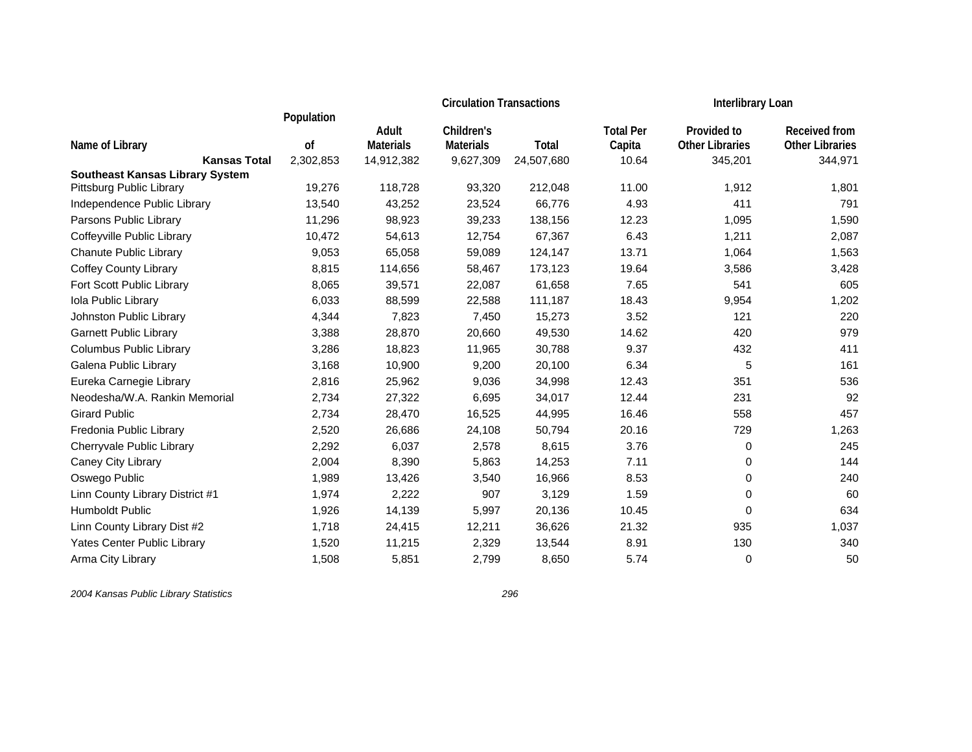|                                                                    |            | <b>Circulation Transactions</b> |                  |            |                  | Interlibrary Loan      |                        |
|--------------------------------------------------------------------|------------|---------------------------------|------------------|------------|------------------|------------------------|------------------------|
|                                                                    | Population | Adult                           | Children's       |            | <b>Total Per</b> | Provided to            | <b>Received from</b>   |
| Name of Library                                                    | of         | <b>Materials</b>                | <b>Materials</b> | Total      | Capita           | <b>Other Libraries</b> | <b>Other Libraries</b> |
| <b>Kansas Total</b>                                                | 2,302,853  | 14,912,382                      | 9,627,309        | 24,507,680 | 10.64            | 345,201                | 344,971                |
| <b>Southeast Kansas Library System</b><br>Pittsburg Public Library | 19,276     | 118,728                         | 93,320           | 212,048    | 11.00            | 1,912                  | 1,801                  |
| Independence Public Library                                        | 13,540     | 43,252                          |                  | 66,776     | 4.93             | 411                    | 791                    |
|                                                                    |            |                                 | 23,524           |            |                  |                        |                        |
| Parsons Public Library                                             | 11,296     | 98,923                          | 39,233           | 138,156    | 12.23            | 1,095                  | 1,590                  |
| Coffeyville Public Library                                         | 10,472     | 54,613                          | 12,754           | 67,367     | 6.43             | 1,211                  | 2,087                  |
| <b>Chanute Public Library</b>                                      | 9,053      | 65,058                          | 59,089           | 124,147    | 13.71            | 1,064                  | 1,563                  |
| <b>Coffey County Library</b>                                       | 8,815      | 114,656                         | 58,467           | 173,123    | 19.64            | 3,586                  | 3,428                  |
| Fort Scott Public Library                                          | 8,065      | 39,571                          | 22,087           | 61,658     | 7.65             | 541                    | 605                    |
| Iola Public Library                                                | 6,033      | 88,599                          | 22,588           | 111,187    | 18.43            | 9,954                  | 1,202                  |
| Johnston Public Library                                            | 4,344      | 7,823                           | 7,450            | 15,273     | 3.52             | 121                    | 220                    |
| <b>Garnett Public Library</b>                                      | 3,388      | 28,870                          | 20,660           | 49,530     | 14.62            | 420                    | 979                    |
| Columbus Public Library                                            | 3,286      | 18,823                          | 11,965           | 30,788     | 9.37             | 432                    | 411                    |
| Galena Public Library                                              | 3,168      | 10,900                          | 9,200            | 20,100     | 6.34             | 5                      | 161                    |
| Eureka Carnegie Library                                            | 2,816      | 25,962                          | 9,036            | 34,998     | 12.43            | 351                    | 536                    |
| Neodesha/W.A. Rankin Memorial                                      | 2,734      | 27,322                          | 6,695            | 34,017     | 12.44            | 231                    | 92                     |
| <b>Girard Public</b>                                               | 2,734      | 28,470                          | 16,525           | 44,995     | 16.46            | 558                    | 457                    |
| Fredonia Public Library                                            | 2,520      | 26,686                          | 24,108           | 50,794     | 20.16            | 729                    | 1,263                  |
| Cherryvale Public Library                                          | 2,292      | 6,037                           | 2,578            | 8,615      | 3.76             | 0                      | 245                    |
| Caney City Library                                                 | 2,004      | 8,390                           | 5,863            | 14,253     | 7.11             | 0                      | 144                    |
| Oswego Public                                                      | 1,989      | 13,426                          | 3,540            | 16,966     | 8.53             | 0                      | 240                    |
| Linn County Library District #1                                    | 1,974      | 2,222                           | 907              | 3,129      | 1.59             | 0                      | 60                     |
| Humboldt Public                                                    | 1,926      | 14,139                          | 5,997            | 20,136     | 10.45            | 0                      | 634                    |
| Linn County Library Dist #2                                        | 1,718      | 24,415                          | 12,211           | 36,626     | 21.32            | 935                    | 1,037                  |
| Yates Center Public Library                                        | 1,520      | 11,215                          | 2,329            | 13,544     | 8.91             | 130                    | 340                    |
| Arma City Library                                                  | 1,508      | 5,851                           | 2,799            | 8,650      | 5.74             | 0                      | 50                     |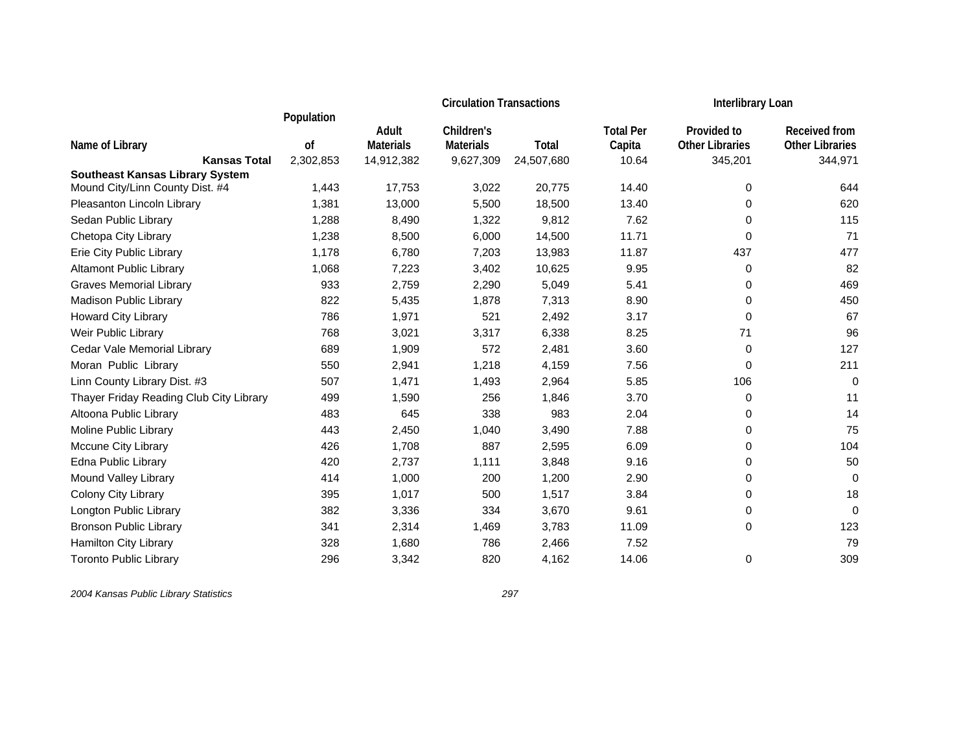|                                         |            | <b>Circulation Transactions</b> |                  |            |                  | <b>Interlibrary Loan</b> |                        |
|-----------------------------------------|------------|---------------------------------|------------------|------------|------------------|--------------------------|------------------------|
|                                         | Population | Adult                           | Children's       |            | <b>Total Per</b> | Provided to              | Received from          |
| Name of Library                         | of         | <b>Materials</b>                | <b>Materials</b> | Total      | Capita           | <b>Other Libraries</b>   | <b>Other Libraries</b> |
| <b>Kansas Total</b>                     | 2,302,853  | 14,912,382                      | 9,627,309        | 24,507,680 | 10.64            | 345,201                  | 344,971                |
| <b>Southeast Kansas Library System</b>  |            |                                 |                  |            |                  |                          |                        |
| Mound City/Linn County Dist. #4         | 1,443      | 17,753                          | 3,022            | 20,775     | 14.40            | 0                        | 644                    |
| Pleasanton Lincoln Library              | 1,381      | 13,000                          | 5,500            | 18,500     | 13.40            | 0                        | 620                    |
| Sedan Public Library                    | 1,288      | 8,490                           | 1,322            | 9,812      | 7.62             | 0                        | 115                    |
| Chetopa City Library                    | 1,238      | 8,500                           | 6,000            | 14,500     | 11.71            | $\mathbf 0$              | 71                     |
| Erie City Public Library                | 1,178      | 6,780                           | 7,203            | 13,983     | 11.87            | 437                      | 477                    |
| <b>Altamont Public Library</b>          | 1,068      | 7,223                           | 3,402            | 10,625     | 9.95             | 0                        | 82                     |
| <b>Graves Memorial Library</b>          | 933        | 2,759                           | 2,290            | 5,049      | 5.41             | 0                        | 469                    |
| Madison Public Library                  | 822        | 5,435                           | 1,878            | 7,313      | 8.90             | 0                        | 450                    |
| Howard City Library                     | 786        | 1,971                           | 521              | 2,492      | 3.17             | 0                        | 67                     |
| Weir Public Library                     | 768        | 3,021                           | 3,317            | 6,338      | 8.25             | 71                       | 96                     |
| Cedar Vale Memorial Library             | 689        | 1,909                           | 572              | 2,481      | 3.60             | 0                        | 127                    |
| Moran Public Library                    | 550        | 2,941                           | 1,218            | 4,159      | 7.56             | 0                        | 211                    |
| Linn County Library Dist. #3            | 507        | 1,471                           | 1,493            | 2,964      | 5.85             | 106                      | $\mathbf 0$            |
| Thayer Friday Reading Club City Library | 499        | 1,590                           | 256              | 1,846      | 3.70             | 0                        | 11                     |
| Altoona Public Library                  | 483        | 645                             | 338              | 983        | 2.04             | 0                        | 14                     |
| Moline Public Library                   | 443        | 2,450                           | 1,040            | 3,490      | 7.88             | 0                        | 75                     |
| Mccune City Library                     | 426        | 1,708                           | 887              | 2,595      | 6.09             | 0                        | 104                    |
| Edna Public Library                     | 420        | 2,737                           | 1,111            | 3,848      | 9.16             | 0                        | 50                     |
| Mound Valley Library                    | 414        | 1,000                           | 200              | 1,200      | 2.90             | 0                        | 0                      |
| Colony City Library                     | 395        | 1,017                           | 500              | 1,517      | 3.84             | 0                        | 18                     |
| Longton Public Library                  | 382        | 3,336                           | 334              | 3,670      | 9.61             | 0                        | 0                      |
| <b>Bronson Public Library</b>           | 341        | 2,314                           | 1,469            | 3,783      | 11.09            | 0                        | 123                    |
| Hamilton City Library                   | 328        | 1,680                           | 786              | 2,466      | 7.52             |                          | 79                     |
| <b>Toronto Public Library</b>           | 296        | 3,342                           | 820              | 4,162      | 14.06            | 0                        | 309                    |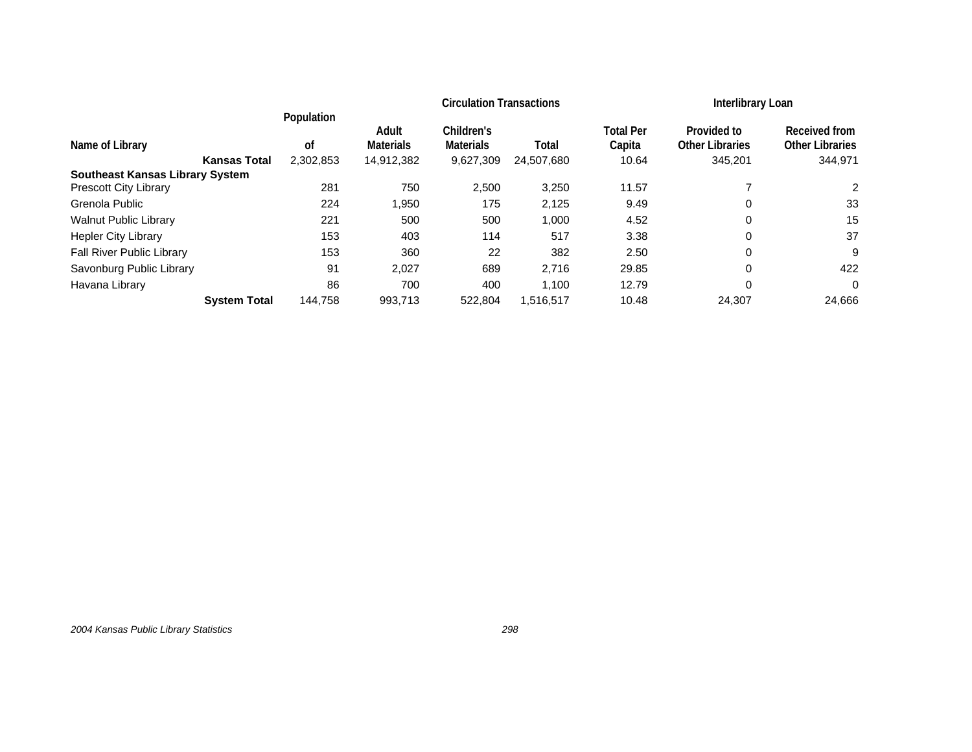|                                        |            | <b>Circulation Transactions</b> |                  |            |                  | Interlibrary Loan      |                        |
|----------------------------------------|------------|---------------------------------|------------------|------------|------------------|------------------------|------------------------|
|                                        | Population | Adult                           | Children's       |            | <b>Total Per</b> | Provided to            | Received from          |
| Name of Library                        | 0f         | <b>Materials</b>                | <b>Materials</b> | Total      | Capita           | <b>Other Libraries</b> | <b>Other Libraries</b> |
| <b>Kansas Total</b>                    | 2.302.853  | 14,912,382                      | 9,627,309        | 24,507,680 | 10.64            | 345,201                | 344,971                |
| <b>Southeast Kansas Library System</b> |            |                                 |                  |            |                  |                        |                        |
| <b>Prescott City Library</b>           | 281        | 750                             | 2,500            | 3,250      | 11.57            |                        | 2                      |
| Grenola Public                         | 224        | 1,950                           | 175              | 2,125      | 9.49             | 0                      | 33                     |
| <b>Walnut Public Library</b>           | 221        | 500                             | 500              | 1,000      | 4.52             | 0                      | 15                     |
| <b>Hepler City Library</b>             | 153        | 403                             | 114              | 517        | 3.38             | 0                      | 37                     |
| <b>Fall River Public Library</b>       | 153        | 360                             | 22               | 382        | 2.50             | 0                      | 9                      |
| Savonburg Public Library               | 91         | 2,027                           | 689              | 2,716      | 29.85            | 0                      | 422                    |
| Havana Library                         | 86         | 700                             | 400              | 1.100      | 12.79            | 0                      | $\Omega$               |
| <b>System Total</b>                    | 144.758    | 993,713                         | 522.804          | 1,516,517  | 10.48            | 24,307                 | 24,666                 |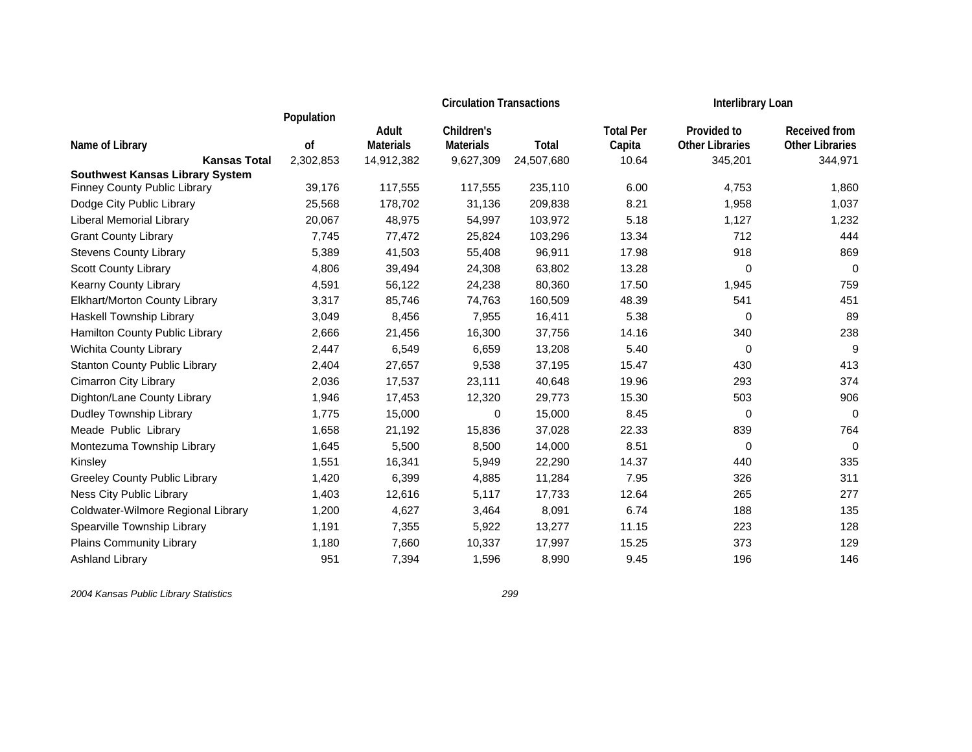|                                        |            | <b>Circulation Transactions</b> |                  |            |                  | Interlibrary Loan      |                        |
|----------------------------------------|------------|---------------------------------|------------------|------------|------------------|------------------------|------------------------|
|                                        | Population | Adult                           | Children's       |            | <b>Total Per</b> | Provided to            | <b>Received from</b>   |
| Name of Library                        | of         | <b>Materials</b>                | <b>Materials</b> | Total      | Capita           | <b>Other Libraries</b> | <b>Other Libraries</b> |
| <b>Kansas Total</b>                    | 2,302,853  | 14,912,382                      | 9,627,309        | 24,507,680 | 10.64            | 345,201                | 344,971                |
| <b>Southwest Kansas Library System</b> |            |                                 |                  |            |                  |                        |                        |
| Finney County Public Library           | 39,176     | 117,555                         | 117,555          | 235,110    | 6.00             | 4,753                  | 1,860                  |
| Dodge City Public Library              | 25,568     | 178,702                         | 31,136           | 209,838    | 8.21             | 1,958                  | 1,037                  |
| <b>Liberal Memorial Library</b>        | 20,067     | 48,975                          | 54,997           | 103,972    | 5.18             | 1,127                  | 1,232                  |
| <b>Grant County Library</b>            | 7,745      | 77,472                          | 25,824           | 103,296    | 13.34            | 712                    | 444                    |
| <b>Stevens County Library</b>          | 5,389      | 41,503                          | 55,408           | 96,911     | 17.98            | 918                    | 869                    |
| <b>Scott County Library</b>            | 4,806      | 39,494                          | 24,308           | 63,802     | 13.28            | 0                      | $\mathbf 0$            |
| Kearny County Library                  | 4,591      | 56,122                          | 24,238           | 80,360     | 17.50            | 1,945                  | 759                    |
| Elkhart/Morton County Library          | 3,317      | 85,746                          | 74,763           | 160,509    | 48.39            | 541                    | 451                    |
| <b>Haskell Township Library</b>        | 3,049      | 8,456                           | 7,955            | 16,411     | 5.38             | 0                      | 89                     |
| Hamilton County Public Library         | 2,666      | 21,456                          | 16,300           | 37,756     | 14.16            | 340                    | 238                    |
| Wichita County Library                 | 2,447      | 6,549                           | 6,659            | 13,208     | 5.40             | 0                      | $\boldsymbol{9}$       |
| <b>Stanton County Public Library</b>   | 2,404      | 27,657                          | 9,538            | 37,195     | 15.47            | 430                    | 413                    |
| <b>Cimarron City Library</b>           | 2,036      | 17,537                          | 23,111           | 40,648     | 19.96            | 293                    | 374                    |
| Dighton/Lane County Library            | 1,946      | 17,453                          | 12,320           | 29,773     | 15.30            | 503                    | 906                    |
| Dudley Township Library                | 1,775      | 15,000                          | 0                | 15,000     | 8.45             | 0                      | 0                      |
| Meade Public Library                   | 1,658      | 21,192                          | 15,836           | 37,028     | 22.33            | 839                    | 764                    |
| Montezuma Township Library             | 1,645      | 5,500                           | 8,500            | 14,000     | 8.51             | 0                      | $\pmb{0}$              |
| Kinsley                                | 1,551      | 16,341                          | 5,949            | 22,290     | 14.37            | 440                    | 335                    |
| Greeley County Public Library          | 1,420      | 6,399                           | 4,885            | 11,284     | 7.95             | 326                    | 311                    |
| Ness City Public Library               | 1,403      | 12,616                          | 5,117            | 17,733     | 12.64            | 265                    | 277                    |
| Coldwater-Wilmore Regional Library     | 1,200      | 4,627                           | 3,464            | 8,091      | 6.74             | 188                    | 135                    |
| Spearville Township Library            | 1,191      | 7,355                           | 5,922            | 13,277     | 11.15            | 223                    | 128                    |
| Plains Community Library               | 1,180      | 7,660                           | 10,337           | 17,997     | 15.25            | 373                    | 129                    |
| <b>Ashland Library</b>                 | 951        | 7,394                           | 1,596            | 8,990      | 9.45             | 196                    | 146                    |